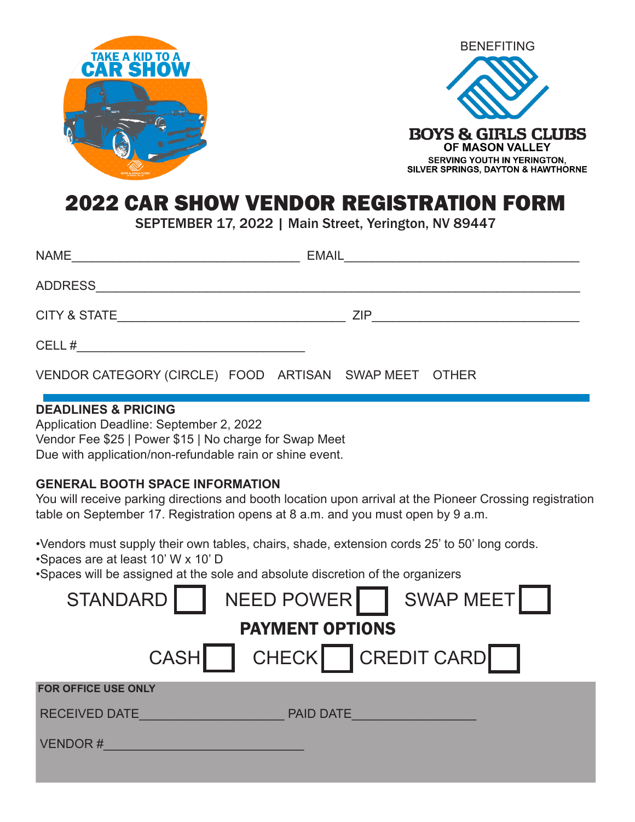



#### 2022 CAR SHOW VENDOR REGISTRATION FORM

SEPTEMBER 17, 2022 | Main Street, Yerington, NV 89447

| <b>NAME</b>             | <b>EMAIL</b> |
|-------------------------|--------------|
| <b>ADDRESS</b>          |              |
| <b>CITY &amp; STATE</b> | <b>ZIP</b>   |
| CELL#                   |              |

VENDOR CATEGORY (CIRCLE) FOOD ARTISAN SWAP MEET OTHER

#### **DEADLINES & PRICING**

Application Deadline: September 2, 2022 Vendor Fee \$25 | Power \$15 | No charge for Swap Meet Due with application/non-refundable rain or shine event.

#### **GENERAL BOOTH SPACE INFORMATION**

You will receive parking directions and booth location upon arrival at the Pioneer Crossing registration table on September 17. Registration opens at 8 a.m. and you must open by 9 a.m.

•Vendors must supply their own tables, chairs, shade, extension cords 25' to 50' long cords.

•Spaces are at least 10' W x 10' D

•Spaces will be assigned at the sole and absolute discretion of the organizers

| STANDARD                   | NEED POWER   SWAP MEET |  |
|----------------------------|------------------------|--|
| <b>PAYMENT OPTIONS</b>     |                        |  |
| <b>CASH</b>                | CHECK CREDIT CARD      |  |
| <b>FOR OFFICE USE ONLY</b> |                        |  |
| <b>RECEIVED DATE</b>       | <b>PAID DATE</b>       |  |
| <b>VENDOR#</b>             |                        |  |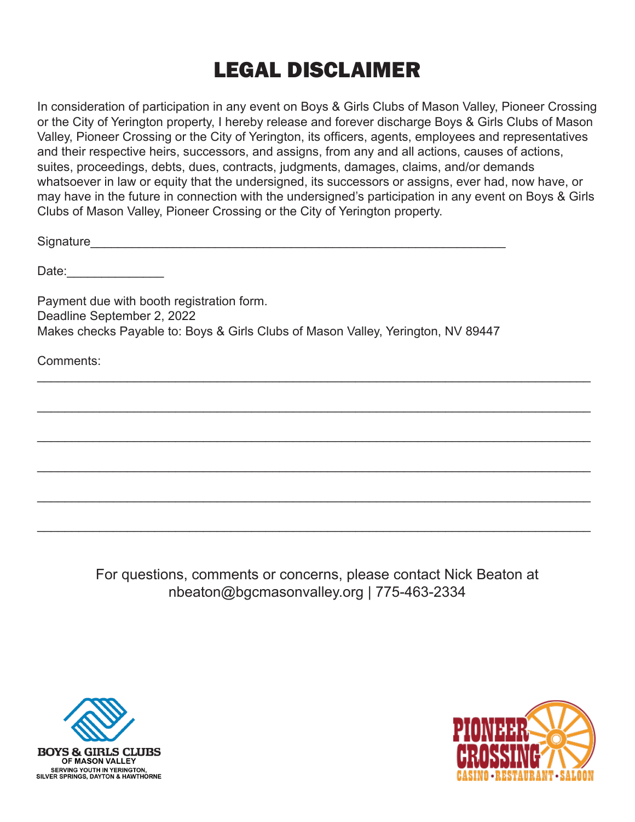### LEGAL DISCLAIMER

In consideration of participation in any event on Boys & Girls Clubs of Mason Valley, Pioneer Crossing or the City of Yerington property, I hereby release and forever discharge Boys & Girls Clubs of Mason Valley, Pioneer Crossing or the City of Yerington, its officers, agents, employees and representatives and their respective heirs, successors, and assigns, from any and all actions, causes of actions, suites, proceedings, debts, dues, contracts, judgments, damages, claims, and/or demands whatsoever in law or equity that the undersigned, its successors or assigns, ever had, now have, or may have in the future in connection with the undersigned's participation in any event on Boys & Girls Clubs of Mason Valley, Pioneer Crossing or the City of Yerington property.

Signature

Date:

Payment due with booth registration form. Deadline September 2, 2022 Makes checks Payable to: Boys & Girls Clubs of Mason Valley, Yerington, NV 89447

Comments:

For questions, comments or concerns, please contact Nick Beaton at nbeaton@bgcmasonvalley.org | 775-463-2334

 $\mathcal{L}_\text{max} = \frac{1}{2} \sum_{i=1}^{n} \frac{1}{2} \sum_{i=1}^{n} \frac{1}{2} \sum_{i=1}^{n} \frac{1}{2} \sum_{i=1}^{n} \frac{1}{2} \sum_{i=1}^{n} \frac{1}{2} \sum_{i=1}^{n} \frac{1}{2} \sum_{i=1}^{n} \frac{1}{2} \sum_{i=1}^{n} \frac{1}{2} \sum_{i=1}^{n} \frac{1}{2} \sum_{i=1}^{n} \frac{1}{2} \sum_{i=1}^{n} \frac{1}{2} \sum_{i=1}^{n} \frac{1$ 

 $\mathcal{L}_\text{max} = \frac{1}{2} \sum_{i=1}^{n} \frac{1}{2} \sum_{i=1}^{n} \frac{1}{2} \sum_{i=1}^{n} \frac{1}{2} \sum_{i=1}^{n} \frac{1}{2} \sum_{i=1}^{n} \frac{1}{2} \sum_{i=1}^{n} \frac{1}{2} \sum_{i=1}^{n} \frac{1}{2} \sum_{i=1}^{n} \frac{1}{2} \sum_{i=1}^{n} \frac{1}{2} \sum_{i=1}^{n} \frac{1}{2} \sum_{i=1}^{n} \frac{1}{2} \sum_{i=1}^{n} \frac{1$ 

\_\_\_\_\_\_\_\_\_\_\_\_\_\_\_\_\_\_\_\_\_\_\_\_\_\_\_\_\_\_\_\_\_\_\_\_\_\_\_\_\_\_\_\_\_\_\_\_\_\_\_\_\_\_\_\_\_\_\_\_\_\_\_\_\_\_\_\_\_\_\_\_\_\_\_\_\_\_\_\_

\_\_\_\_\_\_\_\_\_\_\_\_\_\_\_\_\_\_\_\_\_\_\_\_\_\_\_\_\_\_\_\_\_\_\_\_\_\_\_\_\_\_\_\_\_\_\_\_\_\_\_\_\_\_\_\_\_\_\_\_\_\_\_\_\_\_\_\_\_\_\_\_\_\_\_\_\_\_\_\_

 $\mathcal{L}_\text{max} = \frac{1}{2} \sum_{i=1}^{n} \frac{1}{2} \sum_{i=1}^{n} \frac{1}{2} \sum_{i=1}^{n} \frac{1}{2} \sum_{i=1}^{n} \frac{1}{2} \sum_{i=1}^{n} \frac{1}{2} \sum_{i=1}^{n} \frac{1}{2} \sum_{i=1}^{n} \frac{1}{2} \sum_{i=1}^{n} \frac{1}{2} \sum_{i=1}^{n} \frac{1}{2} \sum_{i=1}^{n} \frac{1}{2} \sum_{i=1}^{n} \frac{1}{2} \sum_{i=1}^{n} \frac{1$ 

 $\mathcal{L}_\text{max} = \frac{1}{2} \sum_{i=1}^{n} \frac{1}{2} \sum_{i=1}^{n} \frac{1}{2} \sum_{i=1}^{n} \frac{1}{2} \sum_{i=1}^{n} \frac{1}{2} \sum_{i=1}^{n} \frac{1}{2} \sum_{i=1}^{n} \frac{1}{2} \sum_{i=1}^{n} \frac{1}{2} \sum_{i=1}^{n} \frac{1}{2} \sum_{i=1}^{n} \frac{1}{2} \sum_{i=1}^{n} \frac{1}{2} \sum_{i=1}^{n} \frac{1}{2} \sum_{i=1}^{n} \frac{1$